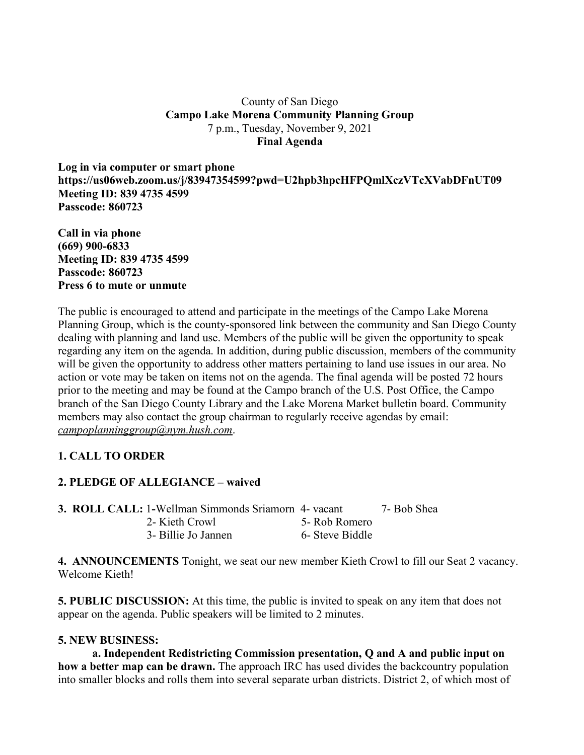#### County of San Diego **Campo Lake Morena Community Planning Group** 7 p.m., Tuesday, November 9, 2021 **Final Agenda**

**Log in via computer or smart phone https://us06web.zoom.us/j/83947354599?pwd=U2hpb3hpcHFPQmlXczVTcXVabDFnUT09 Meeting ID: 839 4735 4599 Passcode: 860723**

**Call in via phone (669) 900-6833 Meeting ID: 839 4735 4599 Passcode: 860723 Press 6 to mute or unmute**

The public is encouraged to attend and participate in the meetings of the Campo Lake Morena Planning Group, which is the county-sponsored link between the community and San Diego County dealing with planning and land use. Members of the public will be given the opportunity to speak regarding any item on the agenda. In addition, during public discussion, members of the community will be given the opportunity to address other matters pertaining to land use issues in our area. No action or vote may be taken on items not on the agenda. The final agenda will be posted 72 hours prior to the meeting and may be found at the Campo branch of the U.S. Post Office, the Campo branch of the San Diego County Library and the Lake Morena Market bulletin board. Community members may also contact the group chairman to regularly receive agendas by email: *campoplanninggroup@nym.hush.com*.

# **1. CALL TO ORDER**

### **2. PLEDGE OF ALLEGIANCE – waived**

| <b>3. ROLL CALL: 1-Wellman Simmonds Sriamorn 4- vacant</b> |                 | 7- Bob Shea |
|------------------------------------------------------------|-----------------|-------------|
| 2- Kieth Crowl                                             | 5- Rob Romero   |             |
| 3- Billie Jo Jannen                                        | 6- Steve Biddle |             |

**4. ANNOUNCEMENTS** Tonight, we seat our new member Kieth Crowl to fill our Seat 2 vacancy. Welcome Kieth!

**5. PUBLIC DISCUSSION:** At this time, the public is invited to speak on any item that does not appear on the agenda. Public speakers will be limited to 2 minutes.

### **5. NEW BUSINESS:**

**a. Independent Redistricting Commission presentation, Q and A and public input on how a better map can be drawn.** The approach IRC has used divides the backcountry population into smaller blocks and rolls them into several separate urban districts. District 2, of which most of